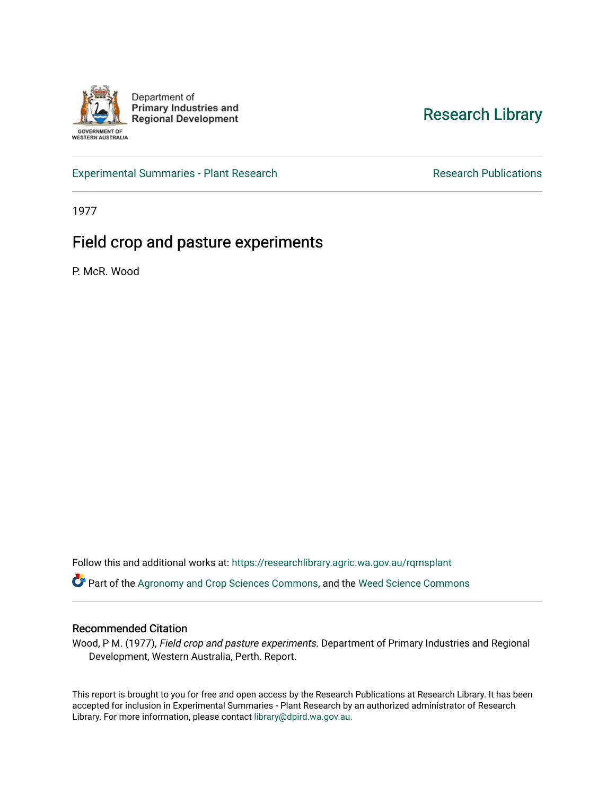

[Research Library](https://researchlibrary.agric.wa.gov.au/) 

[Experimental Summaries - Plant Research](https://researchlibrary.agric.wa.gov.au/rqmsplant) **Research Research Rublications** Research Publications

1977

# Field crop and pasture experiments

P. McR. Wood

Follow this and additional works at: [https://researchlibrary.agric.wa.gov.au/rqmsplant](https://researchlibrary.agric.wa.gov.au/rqmsplant?utm_source=researchlibrary.agric.wa.gov.au%2Frqmsplant%2F198&utm_medium=PDF&utm_campaign=PDFCoverPages) 

Part of the [Agronomy and Crop Sciences Commons,](http://network.bepress.com/hgg/discipline/103?utm_source=researchlibrary.agric.wa.gov.au%2Frqmsplant%2F198&utm_medium=PDF&utm_campaign=PDFCoverPages) and the Weed Science Commons

#### Recommended Citation

Wood, P M. (1977), Field crop and pasture experiments. Department of Primary Industries and Regional Development, Western Australia, Perth. Report.

This report is brought to you for free and open access by the Research Publications at Research Library. It has been accepted for inclusion in Experimental Summaries - Plant Research by an authorized administrator of Research Library. For more information, please contact [library@dpird.wa.gov.au.](mailto:library@dpird.wa.gov.au)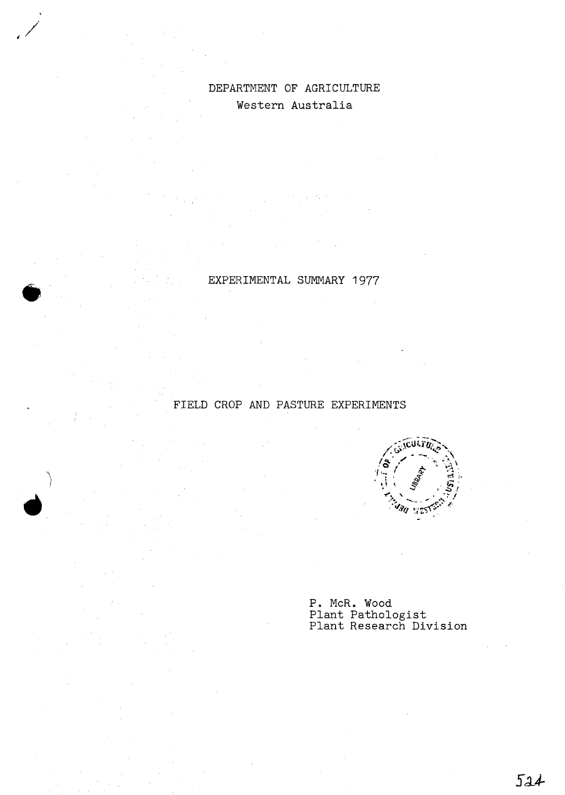## DEPARTMENT OF AGRICULTURE Western Australia

EXPERIMENTAL SUMMARY 1977

### FIELD CROP AND PASTURE EXPERIMENTS

'\ *1* 



P. McR. Wood Plant Pathologist Plant Research Division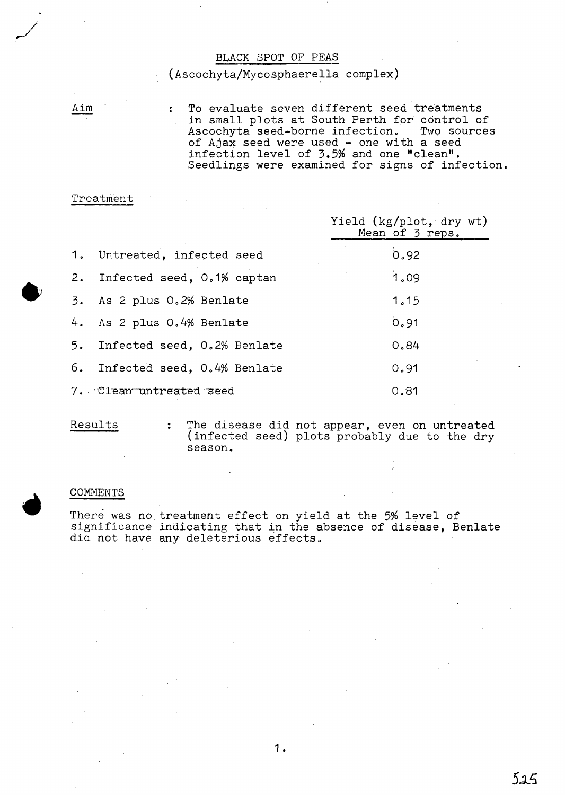#### BLACK SPOT OF PEAS

#### (Ascochyta/Mycosphaerella complex)

Aim

 $\bullet$ 

To evaluate seven different seed treatments in small plots at South Perth for control of Ascochyta seed-borne infection. Two sources of Ajax seed were used - one with a seed infection level of 3.5% and one "clean". Seedlings were examined for signs of infection.

#### Treatment

 $\ddot{\cdot}$ 

 $\ddot{\cdot}$ 

|                                | Yield (kg/plot, dry wt)<br>Mean of 3 reps. |
|--------------------------------|--------------------------------------------|
| 1. Untreated, infected seed    | 0.92                                       |
| 2. Infected seed, 0.1% captan  | 1.09                                       |
| 3. As 2 plus 0.2% Benlate      | 1.15                                       |
| 4. As 2 plus 0.4% Benlate      | 0.91                                       |
| 5. Infected seed, 0.2% Benlate | 0.84                                       |
| 6. Infected seed, 0.4% Benlate | 0.91                                       |
| 7. Clean untreated seed        | 0.81                                       |

Results

The disease did not appear, even on untreated (infected seed) plots probably due to the dry season.

#### COMMENTS

There was no treatment effect on yield at the 5% level of significance indicating that in the absence of disease, Benlate did not have any deleterious effects.

525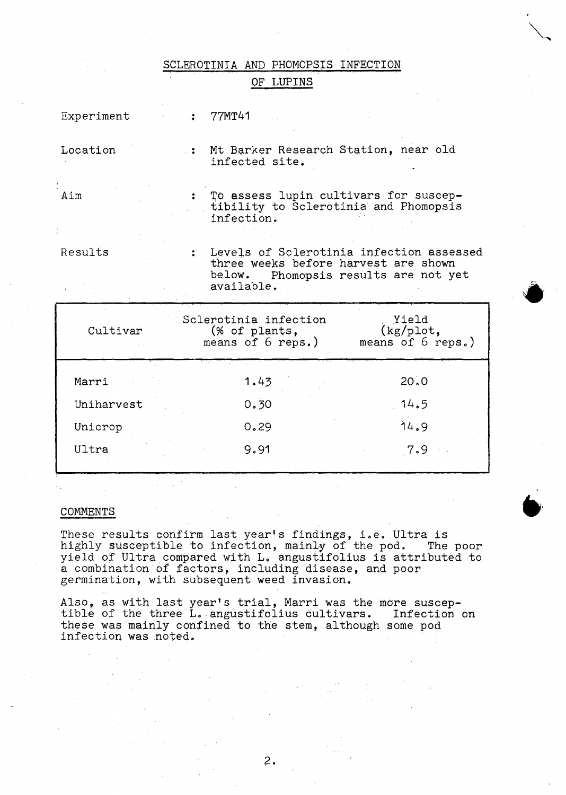SCLEROTINIA AND PHOMOPSIS INFECTION

OF LUPINS

| Experiment |  | 77MT41                                                                                                                                 |
|------------|--|----------------------------------------------------------------------------------------------------------------------------------------|
| Location   |  | : Mt Barker Research Station, near old<br>infected site.                                                                               |
| Aim        |  | To assess lupin cultivars for suscep-<br>tibility to Sclerotinia and Phomopsis<br>infection.                                           |
| Results    |  | Levels of Sclerotinia infection assessed<br>three weeks before harvest are shown<br>below. Phomopsis results are not yet<br>available. |

| Cultivar   | Sclerotinia infection<br>(% of plants,<br>means of $6$ reps.) | Yield<br>(kg/plot,<br>means of 6 reps.) |
|------------|---------------------------------------------------------------|-----------------------------------------|
| Marri      | 1.43                                                          | 20.0                                    |
| Uniharvest | 0.30                                                          | 14.5                                    |
| Unicrop    | 0.29                                                          | 14.9                                    |
| Ultra      | 9.91                                                          | 7.9                                     |

COMMENTS

These results confirm last year's findings, i.e. Ultra is highly susceptible to infection, mainly of the pod. The poor highly susceptible to infection, mainly of the pod. The poor yield of Ultra compared with L. angustifolius is attributed to a combination 6f factors, including disease, and poor germination, with subsequent weed invasion.

Also, as with last year's trial, Marri was the more suscep-<br>tible of the three L. angustifolius cultivars. Infection on these was mainly confined to the stem, although some pod infection was noted.

 $2.$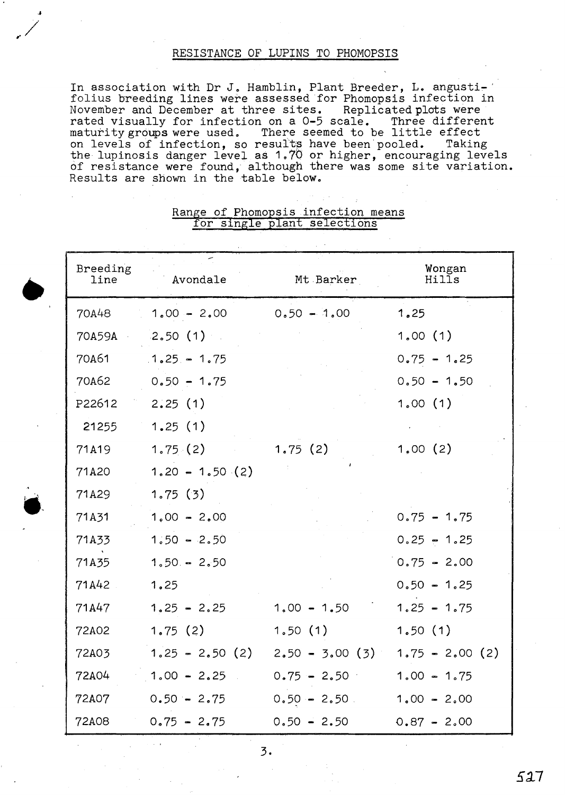#### RESISTANCE OF LUPINS TO PHOMOPSIS

In association with Dr J. Hamblin, Plant Breeder, L. angustifolius breeding lines were assessed for Phomopsis infection in November and December at three sites. Replicated plots were rated visually for infection on a  $0-5$  scale. Three different rated visually for infection on a 0-5 scale. maturity groups were used. There seemed to be little effect on levels of infection, so results have been pooled. Taking<br>the lupinosis danger level as 1.70 or higher, encouraging levels of resistance were found, although there was some site variation. Results are shown in the table below.

| Breeding<br>line | Avondale          | Mt Barker        | Wongan<br>Hills   |
|------------------|-------------------|------------------|-------------------|
| 70A48            | $1.00 - 2.00$     | $0.50 - 1.00$    | 1,25              |
| 70A59A           | 2,50(1)           |                  | 1,00(1)           |
| 70A61            | $1.25 - 1.75$     |                  | $0.75 - 1.25$     |
| 70A62            | $0.50 - 1.75$     |                  | $0.50 - 1.50$     |
| P22612           | 2.25(1)           |                  | 1.00(1)           |
| 21255            | 1.25(1)           |                  |                   |
| 71A19            | 1,75(2)           | 1,75(2)          | 1,00(2)           |
| 71A20            | $1.20 - 1.50$ (2) |                  |                   |
| 71A29            | 1.75(3)           |                  |                   |
| 71A31            | $1,00 - 2,00$     |                  | $0.75 - 1.75$     |
| 71A33            | $1.50 - 2.50$     |                  | $0.25 - 1.25$     |
| 71A35            | $1.50 - 2.50$     |                  | $0.75 - 2.00$     |
| 71A42            | 1.25              |                  | $0.50 - 1.25$     |
| 71A47            | $1.25 - 2.25$     | $1,00 - 1,50$    | $1.25 - 1.75$     |
| 72A02            | 1.75(2)           | 1,50(1)          | 1,50(1)           |
| 72A03            | $1.25 - 2.50(2)$  | $2.50 - 3.00(3)$ | $1.75 - 2.00$ (2) |
| 72A04            | $1.00 - 2.25$     | $0.75 - 2.50$    | $1.00 - 1.75$     |
| 72A07            | $0.50 - 2.75$     | $0.50 - 2.50$    | $1.00 - 2.00$     |
| 72A08            | $0.75 - 2.75$     | $0.50 - 2.50$    | $0.87 - 2.00$     |

### Range of Phomopsis infection means for single plant selections

•

 $\bullet$ 

3.